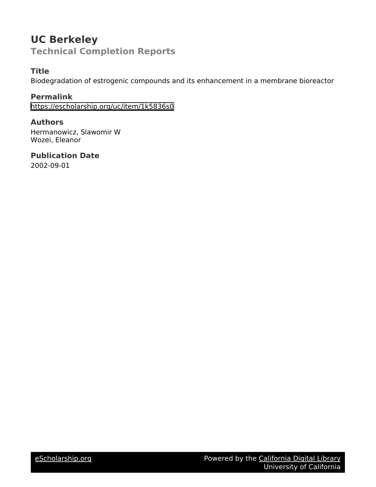# **UC Berkeley Technical Completion Reports**

# **Title**

Biodegradation of estrogenic compounds and its enhancement in a membrane bioreactor

### **Permalink**

<https://escholarship.org/uc/item/1k5836s0>

### **Authors**

Hermanowicz, Slawomir W Wozei, Eleanor

## **Publication Date** 2002-09-01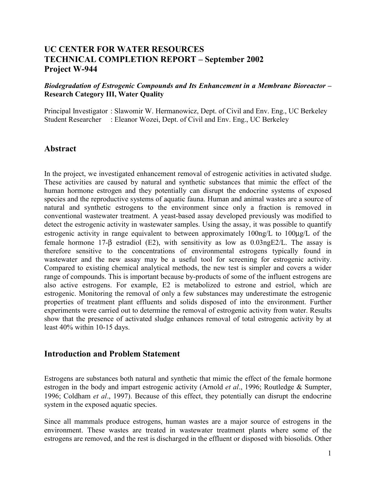## **UC CENTER FOR WATER RESOURCES TECHNICAL COMPLETION REPORT – September 2002 Project W-944**

*Biodegradation of Estrogenic Compounds and Its Enhancement in a Membrane Bioreactor –* **Research Category III, Water Quality**

Principal Investigator : Slawomir W. Hermanowicz, Dept. of Civil and Env. Eng., UC Berkeley Student Researcher : Eleanor Wozei, Dept. of Civil and Env. Eng., UC Berkeley

#### **Abstract**

In the project, we investigated enhancement removal of estrogenic activities in activated sludge. These activities are caused by natural and synthetic substances that mimic the effect of the human hormone estrogen and they potentially can disrupt the endocrine systems of exposed species and the reproductive systems of aquatic fauna. Human and animal wastes are a source of natural and synthetic estrogens to the environment since only a fraction is removed in conventional wastewater treatment. A yeast-based assay developed previously was modified to detect the estrogenic activity in wastewater samples. Using the assay, it was possible to quantify estrogenic activity in range equivalent to between approximately 100ng/L to 100µg/L of the female hormone 17- $\beta$  estradiol (E2), with sensitivity as low as 0.03ngE2/L. The assay is therefore sensitive to the concentrations of environmental estrogens typically found in wastewater and the new assay may be a useful tool for screening for estrogenic activity. Compared to existing chemical analytical methods, the new test is simpler and covers a wider range of compounds. This is important because by-products of some of the influent estrogens are also active estrogens. For example, E2 is metabolized to estrone and estriol, which are estrogenic. Monitoring the removal of only a few substances may underestimate the estrogenic properties of treatment plant effluents and solids disposed of into the environment. Further experiments were carried out to determine the removal of estrogenic activity from water. Results show that the presence of activated sludge enhances removal of total estrogenic activity by at least 40% within 10-15 days.

#### **Introduction and Problem Statement**

Estrogens are substances both natural and synthetic that mimic the effect of the female hormone estrogen in the body and impart estrogenic activity (Arnold *et al*., 1996; Routledge & Sumpter, 1996; Coldham *et al*., 1997). Because of this effect, they potentially can disrupt the endocrine system in the exposed aquatic species.

Since all mammals produce estrogens, human wastes are a major source of estrogens in the environment. These wastes are treated in wastewater treatment plants where some of the estrogens are removed, and the rest is discharged in the effluent or disposed with biosolids. Other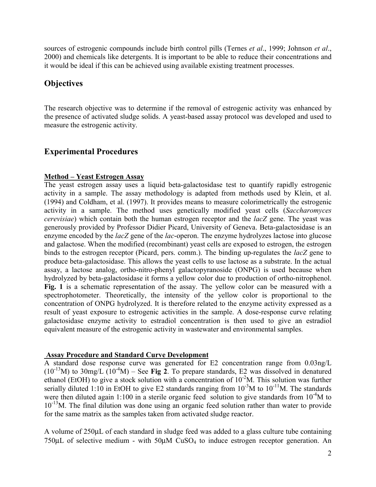sources of estrogenic compounds include birth control pills (Ternes *et al*., 1999; Johnson *et al*., 2000) and chemicals like detergents. It is important to be able to reduce their concentrations and it would be ideal if this can be achieved using available existing treatment processes.

# **Objectives**

The research objective was to determine if the removal of estrogenic activity was enhanced by the presence of activated sludge solids. A yeast-based assay protocol was developed and used to measure the estrogenic activity.

# **Experimental Procedures**

#### **Method – Yeast Estrogen Assay**

The yeast estrogen assay uses a liquid beta-galactosidase test to quantify rapidly estrogenic activity in a sample. The assay methodology is adapted from methods used by Klein, et al. (1994) and Coldham, et al. (1997). It provides means to measure colorimetrically the estrogenic activity in a sample. The method uses genetically modified yeast cells (*Saccharomyces cerevisiae*) which contain both the human estrogen receptor and the *lacZ* gene. The yeast was generously provided by Professor Didier Picard, University of Geneva. Beta-galactosidase is an enzyme encoded by the *lacZ* gene of the *lac*-operon. The enzyme hydrolyzes lactose into glucose and galactose. When the modified (recombinant) yeast cells are exposed to estrogen, the estrogen binds to the estrogen receptor (Picard, pers. comm.). The binding up-regulates the *lacZ* gene to produce beta-galactosidase. This allows the yeast cells to use lactose as a substrate. In the actual assay, a lactose analog, ortho-nitro-phenyl galactopyranoside (ONPG) is used because when hydrolyzed by beta-galactosidase it forms a yellow color due to production of ortho-nitrophenol. **Fig. 1** is a schematic representation of the assay. The yellow color can be measured with a spectrophotometer. Theoretically, the intensity of the yellow color is proportional to the concentration of ONPG hydrolyzed. It is therefore related to the enzyme activity expressed as a result of yeast exposure to estrogenic activities in the sample. A dose-response curve relating galactosidase enzyme activity to estradiol concentration is then used to give an estradiol equivalent measure of the estrogenic activity in wastewater and environmental samples.

#### **Assay Procedure and Standard Curve Development**

A standard dose response curve was generated for E2 concentration range from 0.03ng/L  $(10^{-13}M)$  to 30mg/L  $(10^{-4}M)$  – See Fig 2. To prepare standards, E2 was dissolved in denatured ethanol (EtOH) to give a stock solution with a concentration of  $10^{-2}$ M. This solution was further serially diluted 1:10 in EtOH to give E2 standards ranging from  $10^{-3}$ M to  $10^{-11}$ M. The standards were then diluted again 1:100 in a sterile organic feed solution to give standards from  $10^{-4}M$  to  $10^{-13}$ M. The final dilution was done using an organic feed solution rather than water to provide for the same matrix as the samples taken from activated sludge reactor.

A volume of 250µL of each standard in sludge feed was added to a glass culture tube containing 750µL of selective medium - with 50µM CuSO4 to induce estrogen receptor generation. An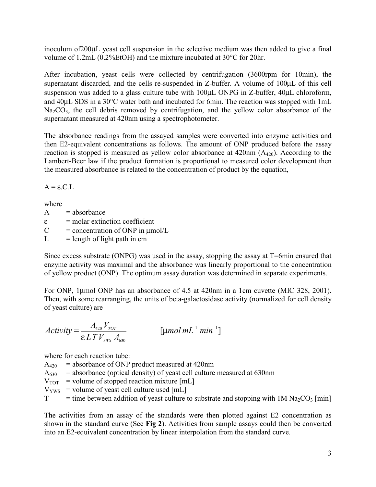inoculum of200µL yeast cell suspension in the selective medium was then added to give a final volume of 1.2mL (0.2%EtOH) and the mixture incubated at 30°C for 20hr.

After incubation, yeast cells were collected by centrifugation (3600rpm for 10min), the supernatant discarded, and the cells re-suspended in Z-buffer. A volume of 100 $\mu$ L of this cell suspension was added to a glass culture tube with 100 $\mu$ L ONPG in Z-buffer, 40 $\mu$ L chloroform, and 40µL SDS in a 30°C water bath and incubated for 6min. The reaction was stopped with 1mL  $Na<sub>2</sub>CO<sub>3</sub>$ , the cell debris removed by centrifugation, and the yellow color absorbance of the supernatant measured at 420nm using a spectrophotometer.

The absorbance readings from the assayed samples were converted into enzyme activities and then E2-equivalent concentrations as follows. The amount of ONP produced before the assay reaction is stopped is measured as yellow color absorbance at  $420$ nm  $(A_{420})$ . According to the Lambert-Beer law if the product formation is proportional to measured color development then the measured absorbance is related to the concentration of product by the equation,

 $A = \varepsilon$ . C. L.

where

 $A = **absorbance**$ 

 $\epsilon$  = molar extinction coefficient

 $C =$  concentration of ONP in  $\mu$ mol/L

 $L =$  length of light path in cm

Since excess substrate (ONPG) was used in the assay, stopping the assay at T=6min ensured that enzyme activity was maximal and the absorbance was linearly proportional to the concentration of yellow product (ONP). The optimum assay duration was determined in separate experiments.

For ONP, 1µmol ONP has an absorbance of 4.5 at 420nm in a 1cm cuvette (MIC 328, 2001). Then, with some rearranging, the units of beta-galactosidase activity (normalized for cell density of yeast culture) are

$$
Activity = \frac{A_{420} V_{TOT}}{\varepsilon L T V_{\gamma_{WS}} A_{630}} \qquad \qquad [\mu mol mL^{-1} \ min^{-1}]
$$

where for each reaction tube:

 $A_{420}$  = absorbance of ONP product measured at 420nm

- $A_{630}$  = absorbance (optical density) of yeast cell culture measured at 630nm
- $V_{\text{TOT}}$  = volume of stopped reaction mixture [mL]
- $V_{\text{YWS}}$  = volume of yeast cell culture used [mL]

 $T =$  time between addition of yeast culture to substrate and stopping with 1M Na<sub>2</sub>CO<sub>3</sub> [min]

The activities from an assay of the standards were then plotted against E2 concentration as shown in the standard curve (See **Fig 2**). Activities from sample assays could then be converted into an E2-equivalent concentration by linear interpolation from the standard curve.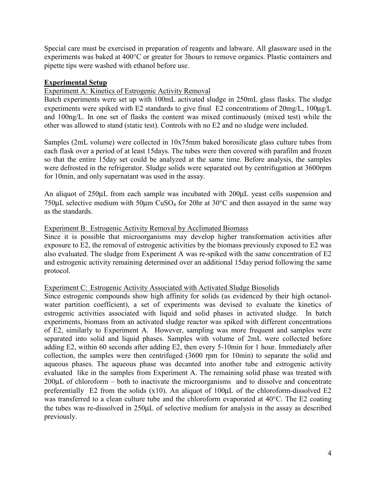Special care must be exercised in preparation of reagents and labware. All glassware used in the experiments was baked at 400°C or greater for 3hours to remove organics. Plastic containers and pipette tips were washed with ethanol before use.

#### **Experimental Setup**

#### Experiment A: Kinetics of Estrogenic Activity Removal

Batch experiments were set up with 100mL activated sludge in 250mL glass flasks. The sludge experiments were spiked with E2 standards to give final E2 concentrations of 20mg/L, 100µg/L and 100ng/L. In one set of flasks the content was mixed continuously (mixed test) while the other was allowed to stand (static test). Controls with no E2 and no sludge were included.

Samples (2mL volume) were collected in 10x75mm baked borosilicate glass culture tubes from each flask over a period of at least 15days. The tubes were then covered with parafilm and frozen so that the entire 15day set could be analyzed at the same time. Before analysis, the samples were defrosted in the refrigerator. Sludge solids were separated out by centrifugation at 3600rpm for 10min, and only supernatant was used in the assay.

An aliquot of 250µL from each sample was incubated with 200µL yeast cells suspension and 750µL selective medium with 50µm CuSO4 for 20hr at 30°C and then assayed in the same way as the standards.

#### Experiment B: Estrogenic Activity Removal by Acclimated Biomass

Since it is possible that microorganisms may develop higher transformation activities after exposure to E2, the removal of estrogenic activities by the biomass previously exposed to E2 was also evaluated. The sludge from Experiment A was re-spiked with the same concentration of E2 and estrogenic activity remaining determined over an additional 15day period following the same protocol.

#### Experiment C: Estrogenic Activity Associated with Activated Sludge Biosolids

Since estrogenic compounds show high affinity for solids (as evidenced by their high octanolwater partition coefficient), a set of experiments was devised to evaluate the kinetics of estrogenic activities associated with liquid and solid phases in activated sludge. In batch experiments, biomass from an activated sludge reactor was spiked with different concentrations of E2, similarly to Experiment A. However, sampling was more frequent and samples were separated into solid and liquid phases. Samples with volume of 2mL were collected before adding E2, within 60 seconds after adding E2, then every 5-10min for 1 hour. Immediately after collection, the samples were then centrifuged (3600 rpm for 10min) to separate the solid and aqueous phases. The aqueous phase was decanted into another tube and estrogenic activity evaluated like in the samples from Experiment A. The remaining solid phase was treated with 200µL of chloroform – both to inactivate the microorganisms and to dissolve and concentrate preferentially E2 from the solids  $(x10)$ . An aliquot of 100 $\mu$ L of the chloroform-dissolved E2 was transferred to a clean culture tube and the chloroform evaporated at 40°C. The E2 coating the tubes was re-dissolved in 250µL of selective medium for analysis in the assay as described previously.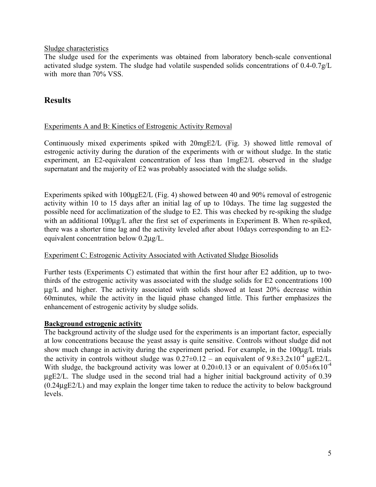#### Sludge characteristics

The sludge used for the experiments was obtained from laboratory bench-scale conventional activated sludge system. The sludge had volatile suspended solids concentrations of 0.4-0.7g/L with more than 70% VSS.

### **Results**

#### Experiments A and B: Kinetics of Estrogenic Activity Removal

Continuously mixed experiments spiked with 20mgE2/L (Fig. 3) showed little removal of estrogenic activity during the duration of the experiments with or without sludge. In the static experiment, an E2-equivalent concentration of less than 1mgE2/L observed in the sludge supernatant and the majority of E2 was probably associated with the sludge solids.

Experiments spiked with 100µgE2/L (Fig. 4) showed between 40 and 90% removal of estrogenic activity within 10 to 15 days after an initial lag of up to 10days. The time lag suggested the possible need for acclimatization of the sludge to E2. This was checked by re-spiking the sludge with an additional 100ug/L after the first set of experiments in Experiment B. When re-spiked, there was a shorter time lag and the activity leveled after about 10days corresponding to an E2 equivalent concentration below 0.2µg/L.

#### Experiment C: Estrogenic Activity Associated with Activated Sludge Biosolids

Further tests (Experiments C) estimated that within the first hour after E2 addition, up to twothirds of the estrogenic activity was associated with the sludge solids for E2 concentrations 100 µg/L and higher. The activity associated with solids showed at least 20% decrease within 60minutes, while the activity in the liquid phase changed little. This further emphasizes the enhancement of estrogenic activity by sludge solids.

#### **Background estrogenic activity**

The background activity of the sludge used for the experiments is an important factor, especially at low concentrations because the yeast assay is quite sensitive. Controls without sludge did not show much change in activity during the experiment period. For example, in the 100µg/L trials the activity in controls without sludge was  $0.27 \pm 0.12$  – an equivalent of  $9.8 \pm 3.2 \times 10^{-4}$  µgE2/L. With sludge, the background activity was lower at  $0.20\pm0.13$  or an equivalent of  $0.05\pm6x10^{-4}$ µgE2/L. The sludge used in the second trial had a higher initial background activity of 0.39 (0.24µgE2/L) and may explain the longer time taken to reduce the activity to below background levels.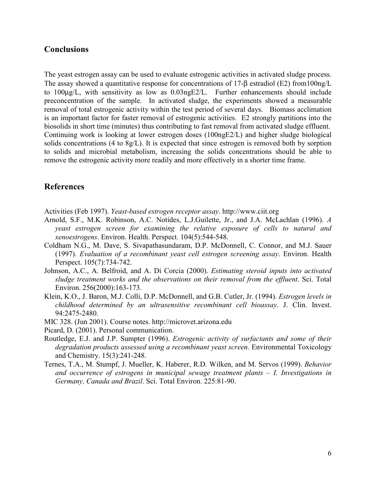#### **Conclusions**

The yeast estrogen assay can be used to evaluate estrogenic activities in activated sludge process. The assay showed a quantitative response for concentrations of 17-β estradiol (E2) from100ng/L to 100µg/L, with sensitivity as low as 0.03ngE2/L. Further enhancements should include preconcentration of the sample. In activated sludge, the experiments showed a measurable removal of total estrogenic activity within the test period of several days. Biomass acclimation is an important factor for faster removal of estrogenic activities. E2 strongly partitions into the biosolids in short time (minutes) thus contributing to fast removal from activated sludge effluent. Continuing work is looking at lower estrogen doses (100ngE2/L) and higher sludge biological solids concentrations (4 to 8g/L). It is expected that since estrogen is removed both by sorption to solids and microbial metabolism, increasing the solids concentrations should be able to remove the estrogenic activity more readily and more effectively in a shorter time frame.

### **References**

Activities (Feb 1997). *Yeast-based estrogen receptor assay*. http://www.ciit.org

- Arnold, S.F., M.K. Robinson, A.C. Notides, L.J.Guilette, Jr., and J.A. McLachlan (1996). *A yeast estrogen screen for examining the relative exposure of cells to natural and xenoestrogens*. Environ. Health. Perspect. 104(5):544-548.
- Coldham N.G., M. Dave, S. Sivapathasundaram, D.P. McDonnell, C. Connor, and M.J. Sauer (1997). *Evaluation of a recombinant yeast cell estrogen screening assay*. Environ. Health Perspect. 105(7):734-742.
- Johnson, A.C., A. Belfroid, and A. Di Corcia (2000). *Estimating steroid inputs into activated sludge treatment works and the observations on their removal from the effluent*. Sci. Total Environ. 256(2000):163-173.
- Klein, K.O., J. Baron, M.J. Colli, D.P. McDonnell, and G.B. Cutler, Jr. (1994). *Estrogen levels in childhood determined by an ultrasensitive recombinant cell bioassay*. J. Clin. Invest. 94:2475-2480.
- MIC 328. (Jun 2001). Course notes. http://microvet.arizona.edu
- Picard, D. (2001). Personal communication.
- Routledge, E.J. and J.P. Sumpter (1996). *Estrogenic activity of surfactants and some of their degradation products assessed using a recombinant yeast screen*. Environmental Toxicology and Chemistry. 15(3):241-248.
- Ternes, T.A., M. Stumpf, J. Mueller, K. Haberer, R.D. Wilken, and M. Servos (1999). *Behavior and occurrence of estrogens in municipal sewage treatment plants – I. Investigations in Germany, Canada and Brazil*. Sci. Total Environ. 225:81-90.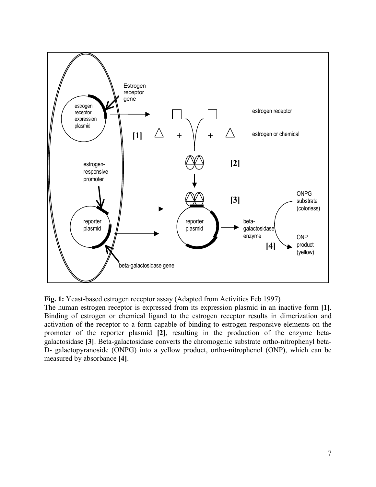

**Fig. 1:** Yeast-based estrogen receptor assay (Adapted from Activities Feb 1997)

The human estrogen receptor is expressed from its expression plasmid in an inactive form **[1]**. Binding of estrogen or chemical ligand to the estrogen receptor results in dimerization and activation of the receptor to a form capable of binding to estrogen responsive elements on the promoter of the reporter plasmid **[2]**, resulting in the production of the enzyme betagalactosidase **[3]**. Beta-galactosidase converts the chromogenic substrate ortho-nitrophenyl beta-D- galactopyranoside (ONPG) into a yellow product, ortho-nitrophenol (ONP), which can be measured by absorbance **[4]**.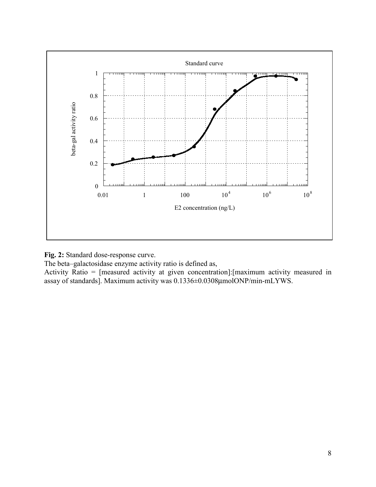

**Fig. 2:** Standard dose-response curve.

The beta–galactosidase enzyme activity ratio is defined as,

Activity Ratio = [measured activity at given concentration]:[maximum activity measured in assay of standards]. Maximum activity was 0.1336±0.0308µmolONP/min-mLYWS.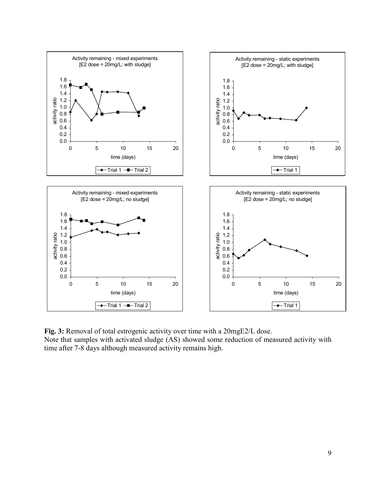

**Fig. 3:** Removal of total estrogenic activity over time with a 20mgE2/L dose. Note that samples with activated sludge (AS) showed some reduction of measured activity with time after 7-8 days although measured activity remains high.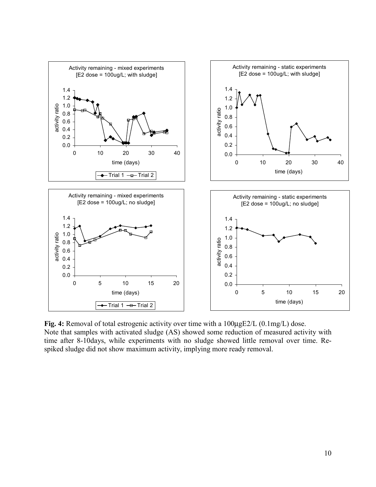

**Fig. 4:** Removal of total estrogenic activity over time with a 100µgE2/L (0.1mg/L) dose. Note that samples with activated sludge (AS) showed some reduction of measured activity with time after 8-10days, while experiments with no sludge showed little removal over time. Respiked sludge did not show maximum activity, implying more ready removal.